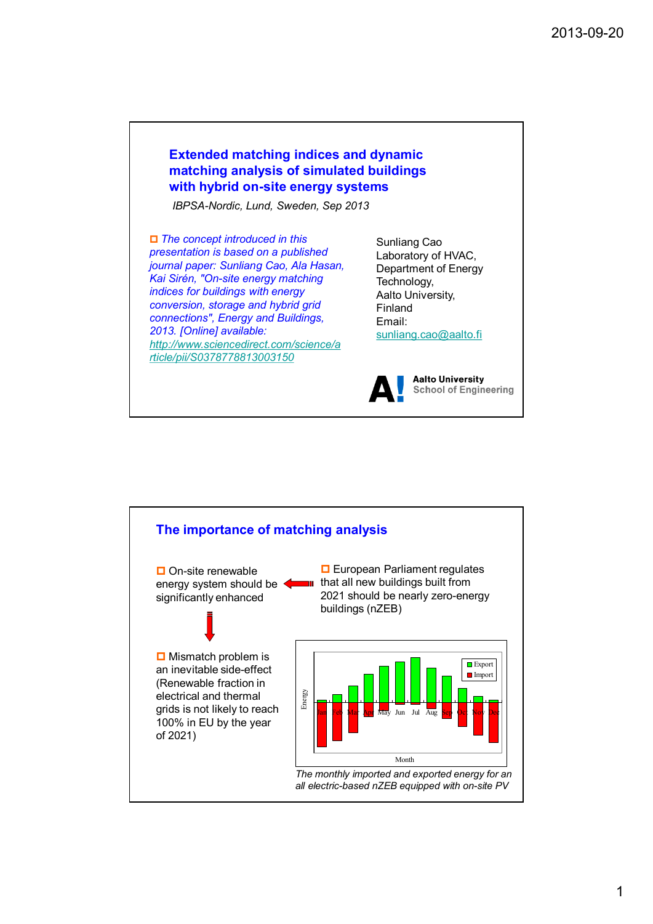## **Extended matching indices and dynamic matching analysis of simulated buildings with hybrid on-site energy systems**

*IBPSA-Nordic, Lund, Sweden, Sep 2013*

p *The concept introduced in this presentation is based on a published journal paper: Sunliang Cao, Ala Hasan, Kai Sirén, "On-site energy matching indices for buildings with energy conversion, storage and hybrid grid connections", Energy and Buildings, 2013. [Online] available: http://www.sciencedirect.com/science/a rticle/pii/S0378778813003150*

Sunliang Cao Laboratory of HVAC, Department of Energy Technology, Aalto University, Finland Email: sunliang.cao@aalto.fi



**Aalto University School of Engineering** 

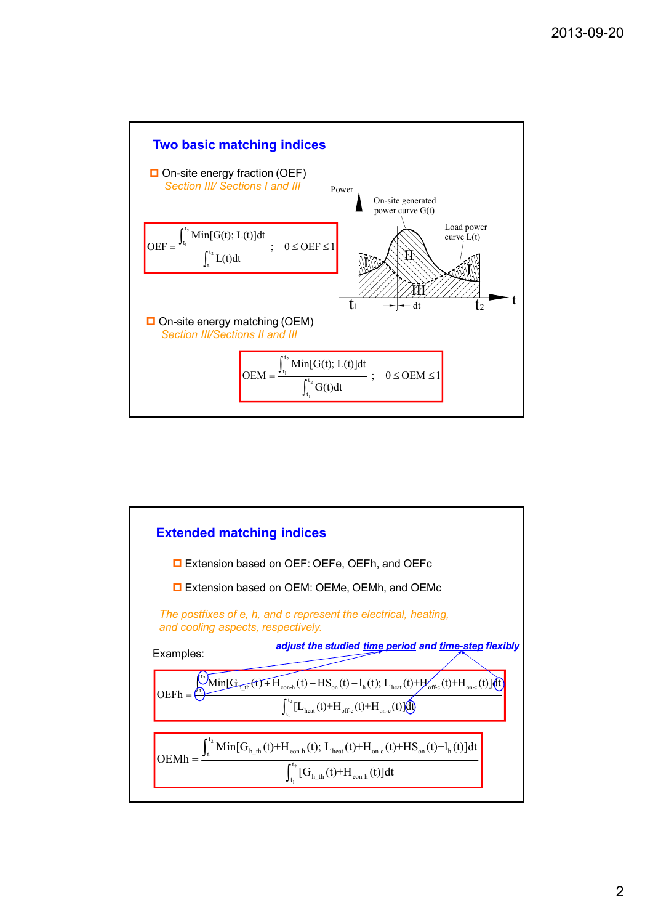

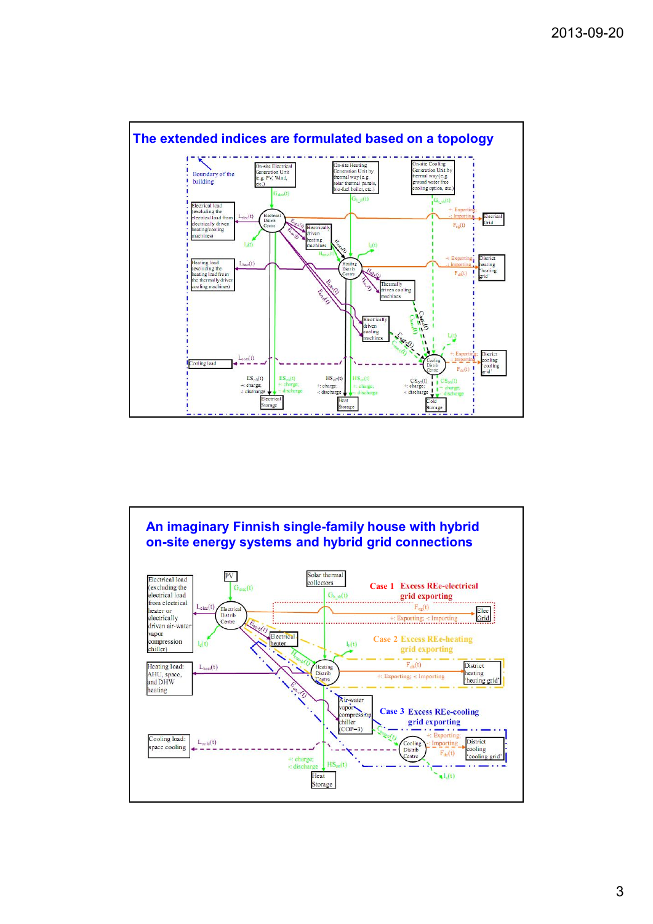

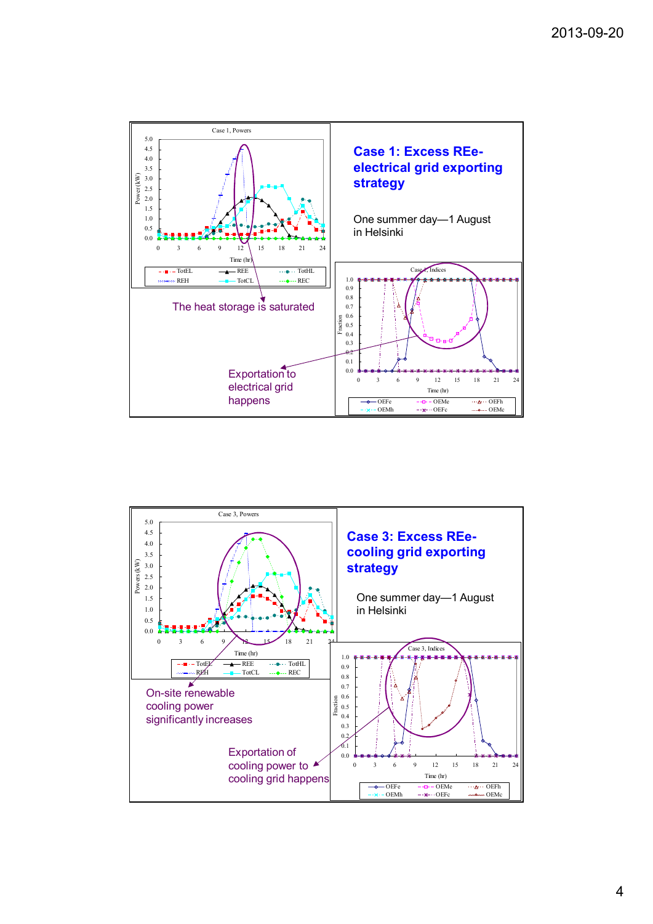